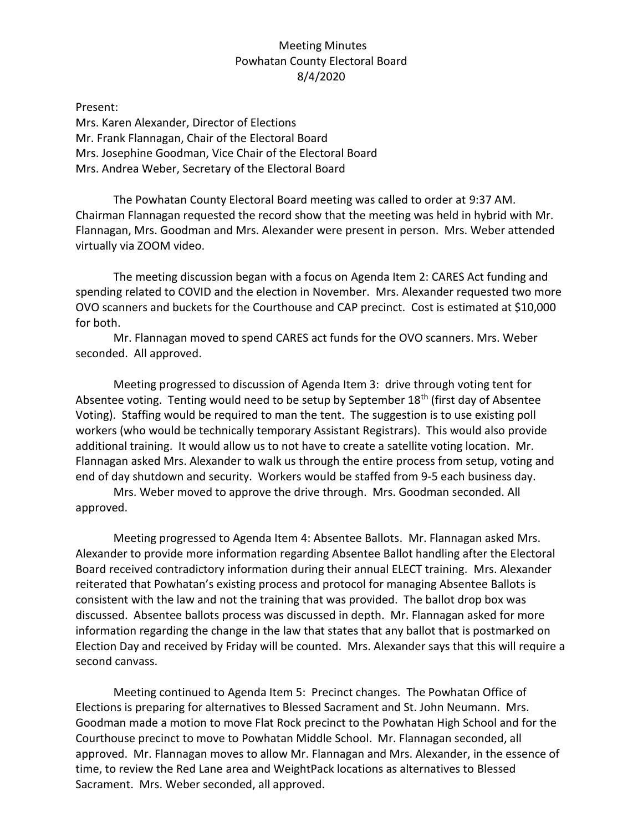## Meeting Minutes Powhatan County Electoral Board 8/4/2020

Present: Mrs. Karen Alexander, Director of Elections Mr. Frank Flannagan, Chair of the Electoral Board Mrs. Josephine Goodman, Vice Chair of the Electoral Board Mrs. Andrea Weber, Secretary of the Electoral Board

The Powhatan County Electoral Board meeting was called to order at 9:37 AM. Chairman Flannagan requested the record show that the meeting was held in hybrid with Mr. Flannagan, Mrs. Goodman and Mrs. Alexander were present in person. Mrs. Weber attended virtually via ZOOM video.

The meeting discussion began with a focus on Agenda Item 2: CARES Act funding and spending related to COVID and the election in November. Mrs. Alexander requested two more OVO scanners and buckets for the Courthouse and CAP precinct. Cost is estimated at \$10,000 for both.

Mr. Flannagan moved to spend CARES act funds for the OVO scanners. Mrs. Weber seconded. All approved.

Meeting progressed to discussion of Agenda Item 3: drive through voting tent for Absentee voting. Tenting would need to be setup by September 18<sup>th</sup> (first day of Absentee Voting). Staffing would be required to man the tent. The suggestion is to use existing poll workers (who would be technically temporary Assistant Registrars). This would also provide additional training. It would allow us to not have to create a satellite voting location. Mr. Flannagan asked Mrs. Alexander to walk us through the entire process from setup, voting and end of day shutdown and security. Workers would be staffed from 9-5 each business day.

Mrs. Weber moved to approve the drive through. Mrs. Goodman seconded. All approved.

Meeting progressed to Agenda Item 4: Absentee Ballots. Mr. Flannagan asked Mrs. Alexander to provide more information regarding Absentee Ballot handling after the Electoral Board received contradictory information during their annual ELECT training. Mrs. Alexander reiterated that Powhatan's existing process and protocol for managing Absentee Ballots is consistent with the law and not the training that was provided. The ballot drop box was discussed. Absentee ballots process was discussed in depth. Mr. Flannagan asked for more information regarding the change in the law that states that any ballot that is postmarked on Election Day and received by Friday will be counted. Mrs. Alexander says that this will require a second canvass.

Meeting continued to Agenda Item 5: Precinct changes. The Powhatan Office of Elections is preparing for alternatives to Blessed Sacrament and St. John Neumann. Mrs. Goodman made a motion to move Flat Rock precinct to the Powhatan High School and for the Courthouse precinct to move to Powhatan Middle School. Mr. Flannagan seconded, all approved. Mr. Flannagan moves to allow Mr. Flannagan and Mrs. Alexander, in the essence of time, to review the Red Lane area and WeightPack locations as alternatives to Blessed Sacrament. Mrs. Weber seconded, all approved.